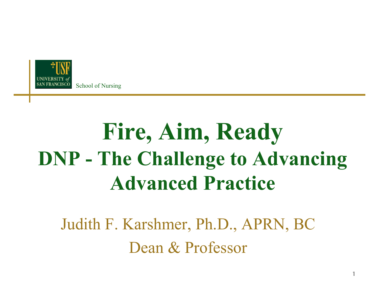

## **Fire, Aim, Ready DNP - The Challenge to Advancing Advanced Practice**

Judith F. Karshmer, Ph.D., APRN, BC Dean & Professor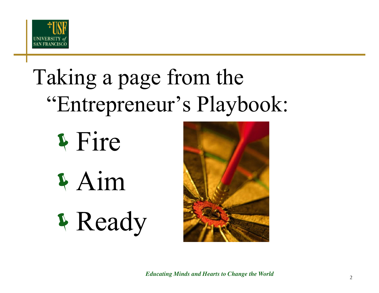

## Taking a page from the "Entrepreneur's Playbook:





*Educating Minds and Hearts to Change the World* <sup>2</sup>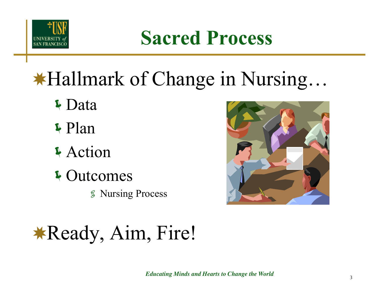

**Sacred Process**

## ✸Hallmark of Change in Nursing…

- Data
- Plan
- **Action**
- <sup>\$</sup> Outcomes
	- Nursing Process



## ✸Ready, Aim, Fire!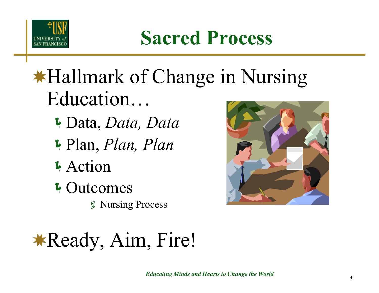

**Sacred Process**

## ✸Hallmark of Change in Nursing Education…

- Data, *Data, Data*
- Plan, *Plan, Plan*
- **Action**
- **4 Outcomes** 
	- Nursing Process



## ✸Ready, Aim, Fire!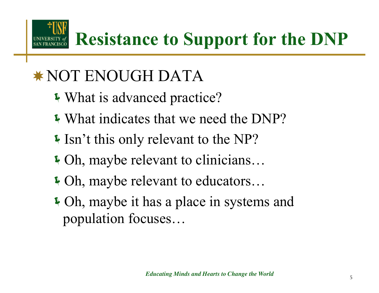**Resistance to Support for the DNP** 

#### ✸ NOT ENOUGH DATA

- What is advanced practice?
- What indicates that we need the DNP?
- If Isn't this only relevant to the NP?
- Oh, maybe relevant to clinicians…
- Oh, maybe relevant to educators…
- Oh, maybe it has a place in systems and population focuses…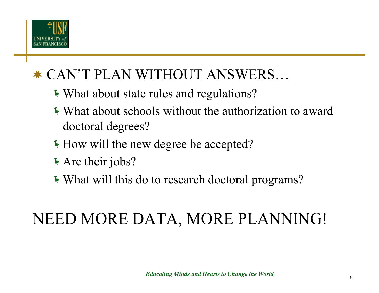

#### ✸ CAN'T PLAN WITHOUT ANSWERS…

- What about state rules and regulations?
- What about schools without the authorization to award doctoral degrees?
- How will the new degree be accepted?
- Are their jobs?
- What will this do to research doctoral programs?

#### NEED MORE DATA, MORE PLANNING!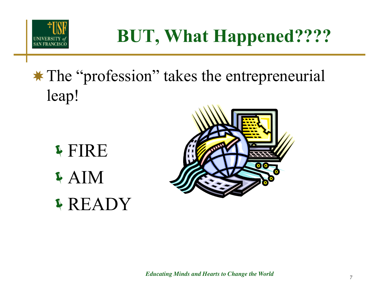

### **BUT, What Happened????**

#### ✸ The "profession" takes the entrepreneurial leap!

FIRE AIM READY

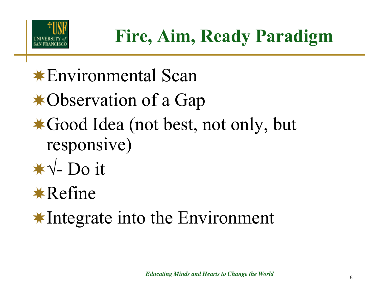

- ✸Environmental Scan
- ✸Observation of a Gap
- ✸Good Idea (not best, not only, but responsive)
- ✸√- Do it

✸Refine

✸Integrate into the Environment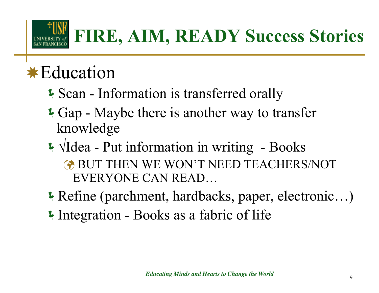

### **FIRE, AIM, READY Success Stories**

#### ✸Education

- Scan Information is transferred orally
- Gap Maybe there is another way to transfer knowledge
- √Idea Put information in writing Books **BUT THEN WE WON'T NEED TEACHERS/NOT** EVERYONE CAN READ…
- Refine (parchment, hardbacks, paper, electronic…)
- Integration Books as a fabric of life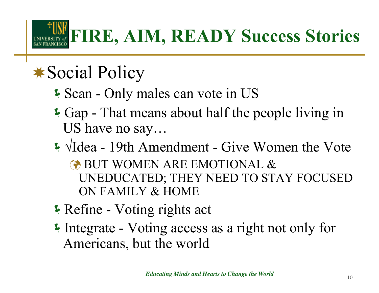## **FIRE, AIM, READY Success Stories**

### ✸Social Policy

- Scan Only males can vote in US
- Gap That means about half the people living in US have no say…
- √Idea 19th Amendment Give Women the Vote BUT WOMEN ARE EMOTIONAL & UNEDUCATED; THEY NEED TO STAY FOCUSED ON FAMILY & HOME
- Refine Voting rights act
- Integrate Voting access as a right not only for Americans, but the world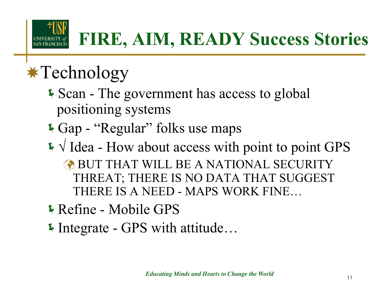

## ✸Technology

- Scan The government has access to global positioning systems
- Gap "Regular" folks use maps
- √ Idea How about access with point to point GPS
	- **BUT THAT WILL BE A NATIONAL SECURITY** THREAT; THERE IS NO DATA THAT SUGGEST THERE IS A NEED - MAPS WORK FINE…
- Refine Mobile GPS
- Integrate GPS with attitude…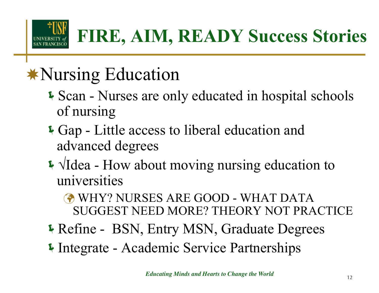

## ✸Nursing Education

- **Scan Nurses are only educated in hospital schools** of nursing
- Gap Little access to liberal education and advanced degrees
- √Idea How about moving nursing education to universities
	- WHY? NURSES ARE GOOD WHAT DATA SUGGEST NEED MORE? THEORY NOT PRACTICE
- Refine BSN, Entry MSN, Graduate Degrees
- Integrate Academic Service Partnerships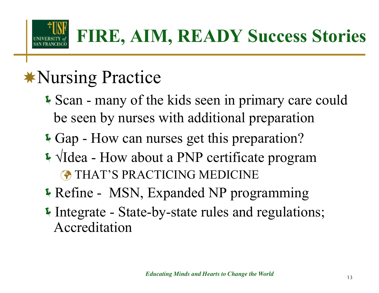

## ✸Nursing Practice

- Scan many of the kids seen in primary care could be seen by nurses with additional preparation
- Gap How can nurses get this preparation?
- √Idea How about a PNP certificate program THAT'S PRACTICING MEDICINE
- Refine MSN, Expanded NP programming
- Integrate State-by-state rules and regulations; Accreditation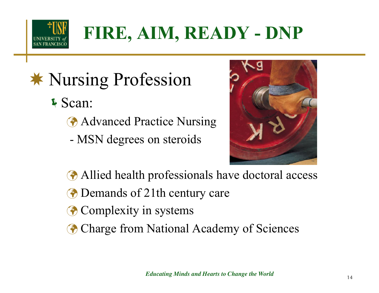

- ✸ Nursing Profession
	- Scan:
		- **Advanced Practice Nursing**
		- MSN degrees on steroids



- Allied health professionals have doctoral access
- **The Demands of 21th century care**
- **Complexity in systems**
- **Charge from National Academy of Sciences**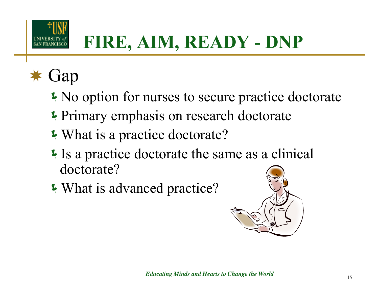

## **FIRE, AIM, READY - DNP**

#### ✸ Gap

- No option for nurses to secure practice doctorate
- **Primary emphasis on research doctorate**
- What is a practice doctorate?
- Is a practice doctorate the same as a clinical doctorate?
- What is advanced practice?

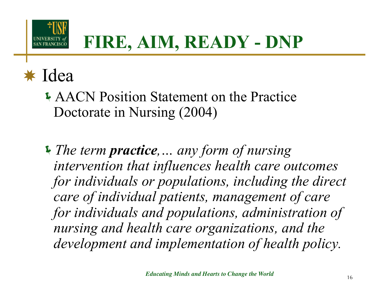

#### ✸ Idea

- AACN Position Statement on the Practice Doctorate in Nursing (2004)
- *The term practice,… any form of nursing intervention that influences health care outcomes*  for individuals or populations, including the direct *care of individual patients, management of care for individuals and populations, administration of nursing and health care organizations, and the development and implementation of health policy.*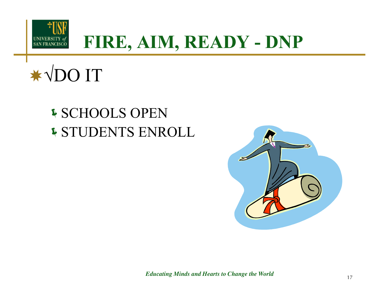

#### **FIRE, AIM, READY - DNP**



#### SCHOOLS OPEN STUDENTS ENROLL



*Educating Minds and Hearts to Change the World* <sup>17</sup>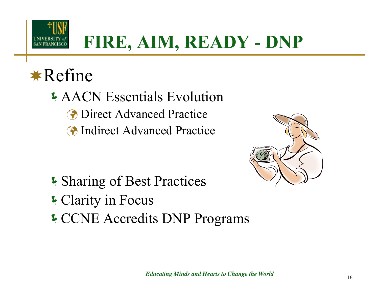

### **FIRE, AIM, READY - DNP**

#### ✸Refine

AACN Essentials Evolution **The Direct Advanced Practice The Indirect Advanced Practice** 

- **I** Sharing of Best Practices
- Clarity in Focus
- CCNE Accredits DNP Programs

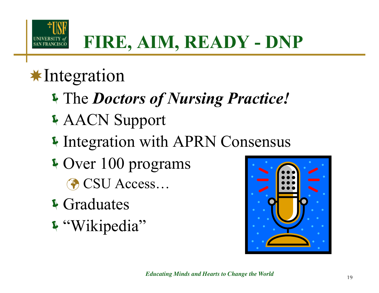

#### ✸Integration

- The *Doctors of Nursing Practice!*
- AACN Support
- **Integration with APRN Consensus**
- **V** Over 100 programs CSU Access...
- **4** Graduates
- "Wikipedia"

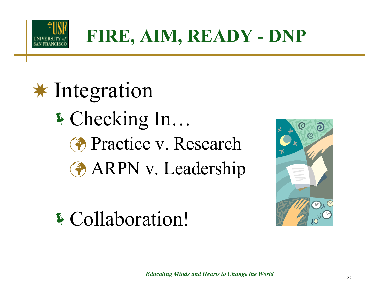

## ✸ Integration Checking In… **Practice v. Research ARPN** v. Leadership



Collaboration!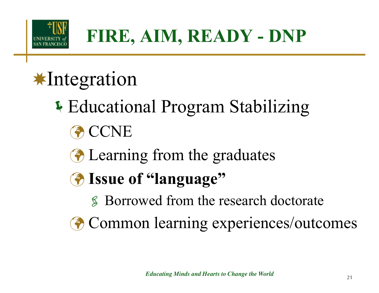

## ✸Integration

- Educational Program Stabilizing
	- **ACCNE**
	- **E** Learning from the graduates
	- **Issue of "language"**
		- Borrowed from the research doctorate
	- **Common learning experiences/outcomes**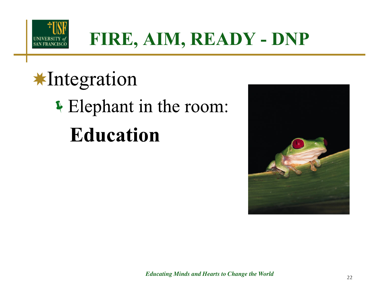

#### **FIRE, AIM, READY - DNP**

## **\*Integration** If Elephant in the room: **Education**

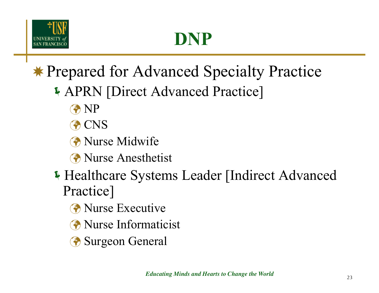

## **DNP**

#### ✸ Prepared for Advanced Specialty Practice

- APRN [Direct Advanced Practice]
	- **A** NP
	- **A** CNS
	- **A** Nurse Midwife
	- **R** Nurse Anesthetist
- Healthcare Systems Leader [Indirect Advanced Practice]
	- **The Nurse Executive**
	- **The Nurse Informaticist**
	- **Surgeon General**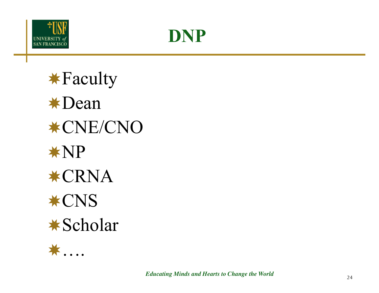



✸Faculty ✸Dean ✸CNE/CNO ✸NP ✸CRNA ✸CNS ✸Scholar

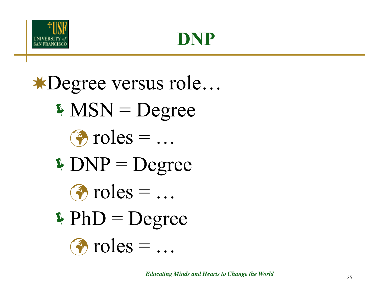



✸Degree versus role…  $N = Degree$  $\bullet$  roles = ...  $\triangle DNP = Degree$  $\bullet$  roles =  $\dots$  $\Phi$  PhD = Degree  $\bullet$  roles =  $\dots$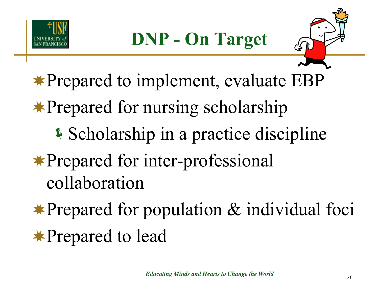



✸Prepared to implement, evaluate EBP

✸Prepared for nursing scholarship

- **Scholarship in a practice discipline**
- ✸Prepared for inter-professional collaboration
- ✸Prepared for population & individual foci ✸Prepared to lead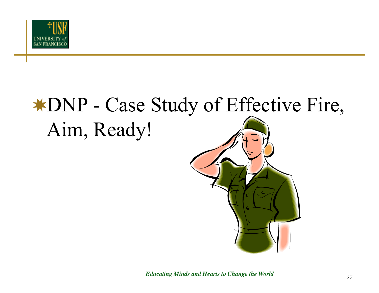

## ✸DNP - Case Study of Effective Fire, Aim, Ready!



*Educating Minds and Hearts to Change the World* <sup>27</sup>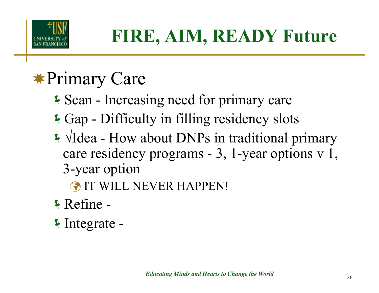

## ✸Primary Care

- Scan Increasing need for primary care
- Gap Difficulty in filling residency slots
- √Idea How about DNPs in traditional primary care residency programs - 3, 1-year options v 1, 3-year option
	- IT WILL NEVER HAPPEN!
- Refine -
- Integrate -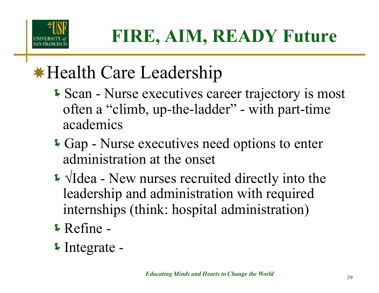

### ✸Health Care Leadership

- Scan Nurse executives career trajectory is most often a "climb, up-the-ladder" - with part-time academics
- Gap Nurse executives need options to enter administration at the onset
- √Idea New nurses recruited directly into the leadership and administration with required internships (think: hospital administration)
- Refine -
- Integrate -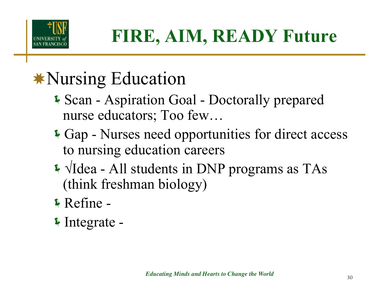

### ✸Nursing Education

- Scan Aspiration Goal Doctorally prepared nurse educators; Too few…
- Gap Nurses need opportunities for direct access to nursing education careers
- √Idea All students in DNP programs as TAs (think freshman biology)
- Refine -
- Integrate -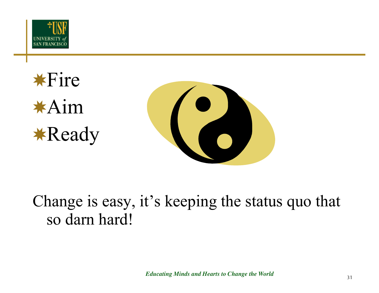

✸Fire ✸Aim ✸Ready



Change is easy, it's keeping the status quo that so darn hard!

*Educating Minds and Hearts to Change the World*  $31$